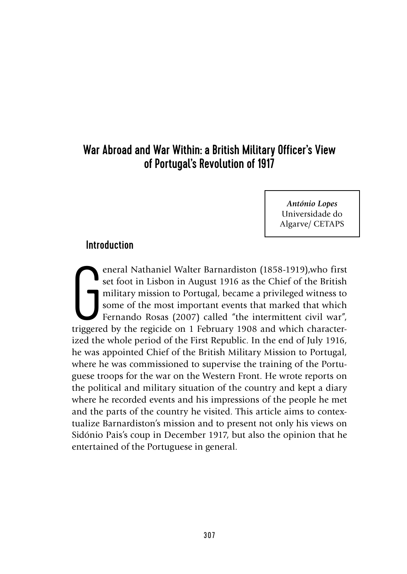# War Abroad and War Within: a British Military Officer's View of Portugal's Revolution of 1917

*António Lopes*  Universidade do Algarve/ CETAPS

### Introduction

Friday School and Nathaniel Walter Barnardiston (1858-1919), who first set foot in Lisbon in August 1916 as the Chief of the British military mission to Portugal, became a privileged witness to some of the most important e eneral Nathaniel Walter Barnardiston (1858-1919),who first set foot in Lisbon in August 1916 as the Chief of the British military mission to Portugal, became a privileged witness to some of the most important events that marked that which Fernando Rosas (2007) called "the intermittent civil war", ized the whole period of the First Republic. In the end of July 1916, he was appointed Chief of the British Military Mission to Portugal, where he was commissioned to supervise the training of the Portuguese troops for the war on the Western Front. He wrote reports on the political and military situation of the country and kept a diary where he recorded events and his impressions of the people he met and the parts of the country he visited. This article aims to contextualize Barnardiston's mission and to present not only his views on Sidónio Pais's coup in December 1917, but also the opinion that he entertained of the Portuguese in general.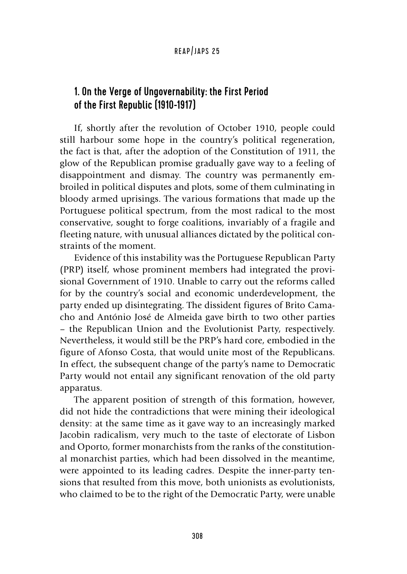# 1. On the Verge of Ungovernability: the First Period of the First Republic (1910-1917)

If, shortly after the revolution of October 1910, people could still harbour some hope in the country's political regeneration, the fact is that, after the adoption of the Constitution of 1911, the glow of the Republican promise gradually gave way to a feeling of disappointment and dismay. The country was permanently embroiled in political disputes and plots, some of them culminating in bloody armed uprisings. The various formations that made up the Portuguese political spectrum, from the most radical to the most conservative, sought to forge coalitions, invariably of a fragile and fleeting nature, with unusual alliances dictated by the political constraints of the moment.

Evidence of this instability was the Portuguese Republican Party (PRP) itself, whose prominent members had integrated the provisional Government of 1910. Unable to carry out the reforms called for by the country's social and economic underdevelopment, the party ended up disintegrating. The dissident figures of Brito Camacho and António José de Almeida gave birth to two other parties – the Republican Union and the Evolutionist Party, respectively. Nevertheless, it would still be the PRP's hard core, embodied in the figure of Afonso Costa, that would unite most of the Republicans. In effect, the subsequent change of the party's name to Democratic Party would not entail any significant renovation of the old party apparatus.

The apparent position of strength of this formation, however, did not hide the contradictions that were mining their ideological density: at the same time as it gave way to an increasingly marked Jacobin radicalism, very much to the taste of electorate of Lisbon and Oporto, former monarchists from the ranks of the constitutional monarchist parties, which had been dissolved in the meantime, were appointed to its leading cadres. Despite the inner-party tensions that resulted from this move, both unionists as evolutionists, who claimed to be to the right of the Democratic Party, were unable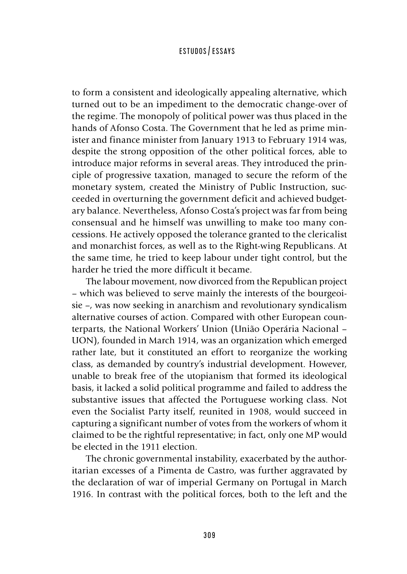to form a consistent and ideologically appealing alternative, which turned out to be an impediment to the democratic change-over of the regime. The monopoly of political power was thus placed in the hands of Afonso Costa. The Government that he led as prime minister and finance minister from January 1913 to February 1914 was, despite the strong opposition of the other political forces, able to introduce major reforms in several areas. They introduced the principle of progressive taxation, managed to secure the reform of the monetary system, created the Ministry of Public Instruction, succeeded in overturning the government deficit and achieved budgetary balance. Nevertheless, Afonso Costa's project was far from being consensual and he himself was unwilling to make too many concessions. He actively opposed the tolerance granted to the clericalist and monarchist forces, as well as to the Right-wing Republicans. At the same time, he tried to keep labour under tight control, but the harder he tried the more difficult it became.

The labour movement, now divorced from the Republican project – which was believed to serve mainly the interests of the bourgeoisie –, was now seeking in anarchism and revolutionary syndicalism alternative courses of action. Compared with other European counterparts, the National Workers' Union (União Operária Nacional – UON), founded in March 1914, was an organization which emerged rather late, but it constituted an effort to reorganize the working class, as demanded by country's industrial development. However, unable to break free of the utopianism that formed its ideological basis, it lacked a solid political programme and failed to address the substantive issues that affected the Portuguese working class. Not even the Socialist Party itself, reunited in 1908, would succeed in capturing a significant number of votes from the workers of whom it claimed to be the rightful representative; in fact, only one MP would be elected in the 1911 election.

The chronic governmental instability, exacerbated by the authoritarian excesses of a Pimenta de Castro, was further aggravated by the declaration of war of imperial Germany on Portugal in March 1916. In contrast with the political forces, both to the left and the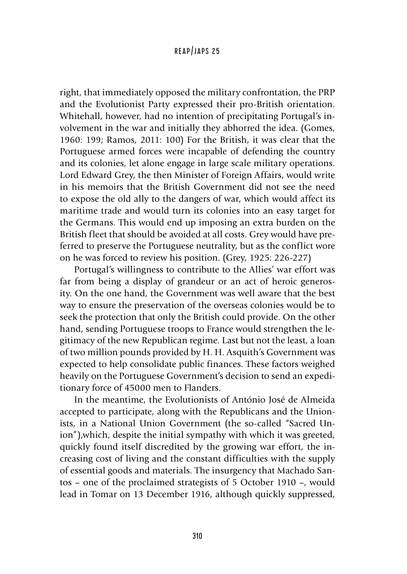right, that immediately opposed the military confrontation, the PRP and the Evolutionist Party expressed their pro-British orientation. Whitehall, however, had no intention of precipitating Portugal's involvement in the war and initially they abhorred the idea. (Gomes, 1960: 199; Ramos, 2011: 100) For the British, it was clear that the Portuguese armed forces were incapable of defending the country and its colonies, let alone engage in large scale military operations. Lord Edward Grey, the then Minister of Foreign Affairs, would write in his memoirs that the British Government did not see the need to expose the old ally to the dangers of war, which would affect its maritime trade and would turn its colonies into an easy target for the Germans. This would end up imposing an extra burden on the British fleet that should be avoided at all costs. Grey would have preferred to preserve the Portuguese neutrality, but as the conflict wore on he was forced to review his position. (Grey, 1925: 226-227)

Portugal's willingness to contribute to the Allies' war effort was far from being a display of grandeur or an act of heroic generosity. On the one hand, the Government was well aware that the best way to ensure the preservation of the overseas colonies would be to seek the protection that only the British could provide. On the other hand, sending Portuguese troops to France would strengthen the legitimacy of the new Republican regime. Last but not the least, a loan of two million pounds provided by H. H. Asquith's Government was expected to help consolidate public finances. These factors weighed heavily on the Portuguese Government's decision to send an expeditionary force of 45000 men to Flanders.

In the meantime, the Evolutionists of António José de Almeida accepted to participate, along with the Republicans and the Unionists, in a National Union Government (the so-called "Sacred Union"),which, despite the initial sympathy with which it was greeted, quickly found itself discredited by the growing war effort, the increasing cost of living and the constant difficulties with the supply of essential goods and materials. The insurgency that Machado Santos – one of the proclaimed strategists of 5 October 1910 –, would lead in Tomar on 13 December 1916, although quickly suppressed,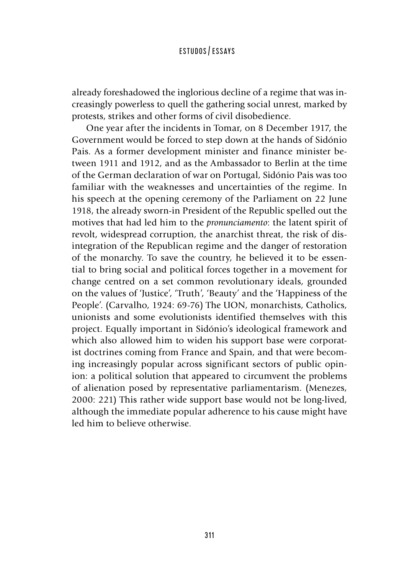already foreshadowed the inglorious decline of a regime that was increasingly powerless to quell the gathering social unrest, marked by protests, strikes and other forms of civil disobedience.

One year after the incidents in Tomar, on 8 December 1917, the Government would be forced to step down at the hands of Sidónio Pais. As a former development minister and finance minister between 1911 and 1912, and as the Ambassador to Berlin at the time of the German declaration of war on Portugal, Sidónio Pais was too familiar with the weaknesses and uncertainties of the regime. In his speech at the opening ceremony of the Parliament on 22 June 1918, the already sworn-in President of the Republic spelled out the motives that had led him to the *pronunciamento*: the latent spirit of revolt, widespread corruption, the anarchist threat, the risk of disintegration of the Republican regime and the danger of restoration of the monarchy. To save the country, he believed it to be essential to bring social and political forces together in a movement for change centred on a set common revolutionary ideals, grounded on the values of 'Justice', 'Truth', 'Beauty' and the 'Happiness of the People'. (Carvalho, 1924: 69-76) The UON, monarchists, Catholics, unionists and some evolutionists identified themselves with this project. Equally important in Sidónio's ideological framework and which also allowed him to widen his support base were corporatist doctrines coming from France and Spain, and that were becoming increasingly popular across significant sectors of public opinion: a political solution that appeared to circumvent the problems of alienation posed by representative parliamentarism. (Menezes, 2000: 221) This rather wide support base would not be long-lived, although the immediate popular adherence to his cause might have led him to believe otherwise.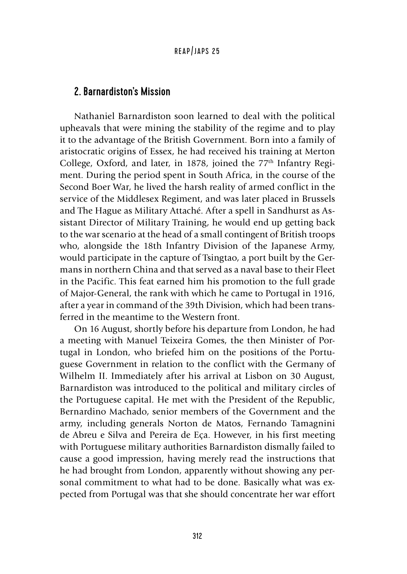# 2. Barnardiston's Mission

Nathaniel Barnardiston soon learned to deal with the political upheavals that were mining the stability of the regime and to play it to the advantage of the British Government. Born into a family of aristocratic origins of Essex, he had received his training at Merton College, Oxford, and later, in 1878, joined the 77<sup>th</sup> Infantry Regiment. During the period spent in South Africa, in the course of the Second Boer War, he lived the harsh reality of armed conflict in the service of the Middlesex Regiment, and was later placed in Brussels and The Hague as Military Attaché. After a spell in Sandhurst as Assistant Director of Military Training, he would end up getting back to the war scenario at the head of a small contingent of British troops who, alongside the 18th Infantry Division of the Japanese Army, would participate in the capture of Tsingtao, a port built by the Germans in northern China and that served as a naval base to their Fleet in the Pacific. This feat earned him his promotion to the full grade of Major-General, the rank with which he came to Portugal in 1916, after a year in command of the 39th Division, which had been transferred in the meantime to the Western front.

On 16 August, shortly before his departure from London, he had a meeting with Manuel Teixeira Gomes, the then Minister of Portugal in London, who briefed him on the positions of the Portuguese Government in relation to the conflict with the Germany of Wilhelm II. Immediately after his arrival at Lisbon on 30 August, Barnardiston was introduced to the political and military circles of the Portuguese capital. He met with the President of the Republic, Bernardino Machado, senior members of the Government and the army, including generals Norton de Matos, Fernando Tamagnini de Abreu e Silva and Pereira de Eça. However, in his first meeting with Portuguese military authorities Barnardiston dismally failed to cause a good impression, having merely read the instructions that he had brought from London, apparently without showing any personal commitment to what had to be done. Basically what was expected from Portugal was that she should concentrate her war effort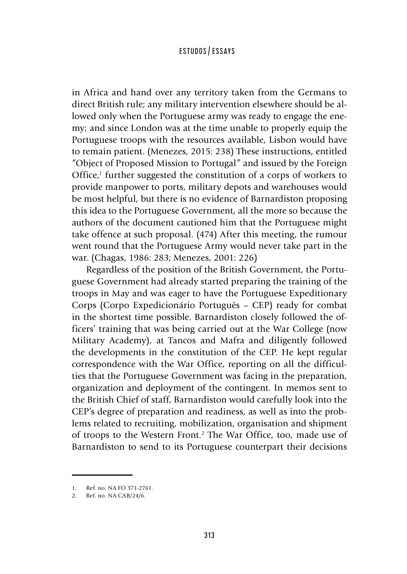in Africa and hand over any territory taken from the Germans to direct British rule; any military intervention elsewhere should be allowed only when the Portuguese army was ready to engage the enemy; and since London was at the time unable to properly equip the Portuguese troops with the resources available, Lisbon would have to remain patient. (Menezes, 2015: 238) These instructions, entitled "Object of Proposed Mission to Portugal" and issued by the Foreign Office,<sup>1</sup> further suggested the constitution of a corps of workers to provide manpower to ports, military depots and warehouses would be most helpful, but there is no evidence of Barnardiston proposing this idea to the Portuguese Government, all the more so because the authors of the document cautioned him that the Portuguese might take offence at such proposal. (474) After this meeting, the rumour went round that the Portuguese Army would never take part in the war. (Chagas, 1986: 283; Menezes, 2001: 226)

Regardless of the position of the British Government, the Portuguese Government had already started preparing the training of the troops in May and was eager to have the Portuguese Expeditionary Corps (Corpo Expedicionário Português – CEP) ready for combat in the shortest time possible. Barnardiston closely followed the officers' training that was being carried out at the War College (now Military Academy), at Tancos and Mafra and diligently followed the developments in the constitution of the CEP. He kept regular correspondence with the War Office, reporting on all the difficulties that the Portuguese Government was facing in the preparation, organization and deployment of the contingent. In memos sent to the British Chief of staff, Barnardiston would carefully look into the CEP's degree of preparation and readiness, as well as into the problems related to recruiting, mobilization, organisation and shipment of troops to the Western Front.2 The War Office, too, made use of Barnardiston to send to its Portuguese counterpart their decisions

<sup>1.</sup> Ref. no. NA FO 371-2761.

<sup>2.</sup> Ref. no. NA CAB/24/6.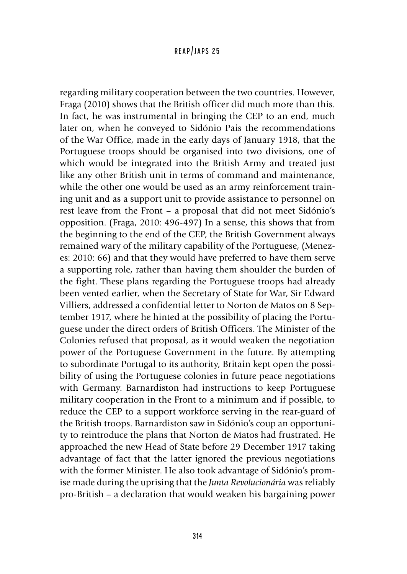regarding military cooperation between the two countries. However, Fraga (2010) shows that the British officer did much more than this. In fact, he was instrumental in bringing the CEP to an end, much later on, when he conveyed to Sidónio Pais the recommendations of the War Office, made in the early days of January 1918, that the Portuguese troops should be organised into two divisions, one of which would be integrated into the British Army and treated just like any other British unit in terms of command and maintenance, while the other one would be used as an army reinforcement training unit and as a support unit to provide assistance to personnel on rest leave from the Front – a proposal that did not meet Sidónio's opposition. (Fraga, 2010: 496-497) In a sense, this shows that from the beginning to the end of the CEP, the British Government always remained wary of the military capability of the Portuguese, (Menezes: 2010: 66) and that they would have preferred to have them serve a supporting role, rather than having them shoulder the burden of the fight. These plans regarding the Portuguese troops had already been vented earlier, when the Secretary of State for War, Sir Edward Villiers, addressed a confidential letter to Norton de Matos on 8 September 1917, where he hinted at the possibility of placing the Portuguese under the direct orders of British Officers. The Minister of the Colonies refused that proposal, as it would weaken the negotiation power of the Portuguese Government in the future. By attempting to subordinate Portugal to its authority, Britain kept open the possibility of using the Portuguese colonies in future peace negotiations with Germany. Barnardiston had instructions to keep Portuguese military cooperation in the Front to a minimum and if possible, to reduce the CEP to a support workforce serving in the rear-guard of the British troops. Barnardiston saw in Sidónio's coup an opportunity to reintroduce the plans that Norton de Matos had frustrated. He approached the new Head of State before 29 December 1917 taking advantage of fact that the latter ignored the previous negotiations with the former Minister. He also took advantage of Sidónio's promise made during the uprising that the *Junta Revolucionária* was reliably pro-British – a declaration that would weaken his bargaining power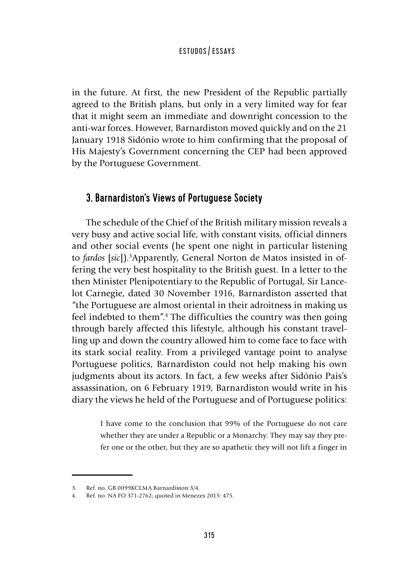in the future. At first, the new President of the Republic partially agreed to the British plans, but only in a very limited way for fear that it might seem an immediate and downright concession to the anti-war forces. However, Barnardiston moved quickly and on the 21 January 1918 Sidónio wrote to him confirming that the proposal of His Majesty's Government concerning the CEP had been approved by the Portuguese Government.

# 3. Barnardiston's Views of Portuguese Society

The schedule of the Chief of the British military mission reveals a very busy and active social life, with constant visits, official dinners and other social events (he spent one night in particular listening to *fardos* [*sic*]).3 Apparently, General Norton de Matos insisted in offering the very best hospitality to the British guest. In a letter to the then Minister Plenipotentiary to the Republic of Portugal, Sir Lancelot Carnegie, dated 30 November 1916, Barnardiston asserted that "the Portuguese are almost oriental in their adroitness in making us feel indebted to them".4 The difficulties the country was then going through barely affected this lifestyle, although his constant travelling up and down the country allowed him to come face to face with its stark social reality. From a privileged vantage point to analyse Portuguese politics, Barnardiston could not help making his own judgments about its actors. In fact, a few weeks after Sidónio Pais's assassination, on 6 February 1919, Barnardiston would write in his diary the views he held of the Portuguese and of Portuguese politics:

> I have come to the conclusion that 99% of the Portuguese do not care whether they are under a Republic or a Monarchy. They may say they prefer one or the other, but they are so apathetic they will not lift a finger in

<sup>3.</sup> Ref. no. GB 0099KCLMA Barnardiston:3/4.

<sup>4.</sup> Ref. no. NA FO 371-2762; quoted in Menezes 2015: 475.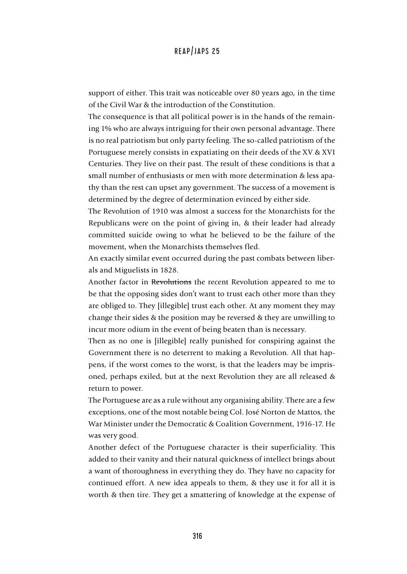support of either. This trait was noticeable over 80 years ago, in the time of the Civil War & the introduction of the Constitution.

The consequence is that all political power is in the hands of the remaining 1% who are always intriguing for their own personal advantage. There is no real patriotism but only party feeling. The so-called patriotism of the Portuguese merely consists in expatiating on their deeds of the XV & XVI Centuries. They live on their past. The result of these conditions is that a small number of enthusiasts or men with more determination & less apathy than the rest can upset any government. The success of a movement is determined by the degree of determination evinced by either side.

The Revolution of 1910 was almost a success for the Monarchists for the Republicans were on the point of giving in, & their leader had already committed suicide owing to what he believed to be the failure of the movement, when the Monarchists themselves fled.

An exactly similar event occurred during the past combats between liberals and Miguelists in 1828.

Another factor in Revolutions the recent Revolution appeared to me to be that the opposing sides don't want to trust each other more than they are obliged to. They [illegible] trust each other. At any moment they may change their sides & the position may be reversed & they are unwilling to incur more odium in the event of being beaten than is necessary.

Then as no one is [illegible] really punished for conspiring against the Government there is no deterrent to making a Revolution. All that happens, if the worst comes to the worst, is that the leaders may be imprisoned, perhaps exiled, but at the next Revolution they are all released & return to power.

The Portuguese are as a rule without any organising ability. There are a few exceptions, one of the most notable being Col. José Norton de Mattos, the War Minister under the Democratic & Coalition Government, 1916-17. He was very good.

Another defect of the Portuguese character is their superficiality. This added to their vanity and their natural quickness of intellect brings about a want of thoroughness in everything they do. They have no capacity for continued effort. A new idea appeals to them, & they use it for all it is worth & then tire. They get a smattering of knowledge at the expense of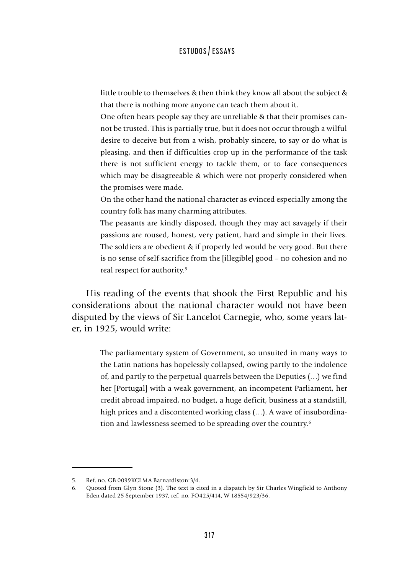little trouble to themselves & then think they know all about the subject & that there is nothing more anyone can teach them about it.

One often hears people say they are unreliable & that their promises cannot be trusted. This is partially true, but it does not occur through a wilful desire to deceive but from a wish, probably sincere, to say or do what is pleasing, and then if difficulties crop up in the performance of the task there is not sufficient energy to tackle them, or to face consequences which may be disagreeable & which were not properly considered when the promises were made.

On the other hand the national character as evinced especially among the country folk has many charming attributes.

The peasants are kindly disposed, though they may act savagely if their passions are roused, honest, very patient, hard and simple in their lives. The soldiers are obedient & if properly led would be very good. But there is no sense of self-sacrifice from the [illegible] good – no cohesion and no real respect for authority.<sup>5</sup>

His reading of the events that shook the First Republic and his considerations about the national character would not have been disputed by the views of Sir Lancelot Carnegie, who, some years later, in 1925, would write:

The parliamentary system of Government, so unsuited in many ways to the Latin nations has hopelessly collapsed, owing partly to the indolence of, and partly to the perpetual quarrels between the Deputies (…) we find her [Portugal] with a weak government, an incompetent Parliament, her credit abroad impaired, no budget, a huge deficit, business at a standstill, high prices and a discontented working class  $(...)$ . A wave of insubordination and lawlessness seemed to be spreading over the country.<sup>6</sup>

<sup>5.</sup> Ref. no. GB 0099KCLMA Barnardiston:3/4.

<sup>6.</sup> Quoted from Glyn Stone (3). The text is cited in a dispatch by Sir Charles Wingfield to Anthony Eden dated 25 September 1937, ref. no. FO425/414, W 18554/923/36.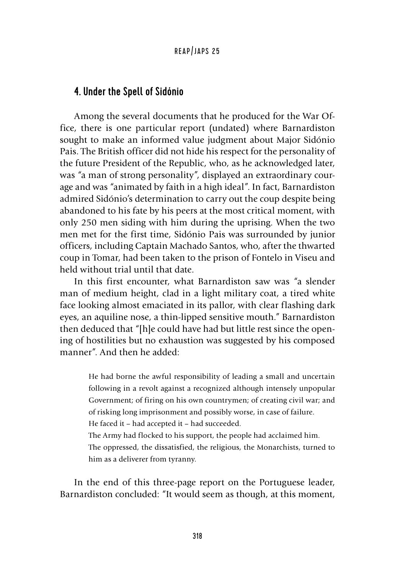#### 4. Under the Spell of Sidónio

Among the several documents that he produced for the War Office, there is one particular report (undated) where Barnardiston sought to make an informed value judgment about Major Sidónio Pais. The British officer did not hide his respect for the personality of the future President of the Republic, who, as he acknowledged later, was "a man of strong personality", displayed an extraordinary courage and was "animated by faith in a high ideal". In fact, Barnardiston admired Sidónio's determination to carry out the coup despite being abandoned to his fate by his peers at the most critical moment, with only 250 men siding with him during the uprising. When the two men met for the first time, Sidónio Pais was surrounded by junior officers, including Captain Machado Santos, who, after the thwarted coup in Tomar, had been taken to the prison of Fontelo in Viseu and held without trial until that date.

In this first encounter, what Barnardiston saw was "a slender man of medium height, clad in a light military coat, a tired white face looking almost emaciated in its pallor, with clear flashing dark eyes, an aquiline nose, a thin-lipped sensitive mouth." Barnardiston then deduced that "[h]e could have had but little rest since the opening of hostilities but no exhaustion was suggested by his composed manner". And then he added:

> He had borne the awful responsibility of leading a small and uncertain following in a revolt against a recognized although intensely unpopular Government; of firing on his own countrymen; of creating civil war; and of risking long imprisonment and possibly worse, in case of failure. He faced it – had accepted it – had succeeded.

The Army had flocked to his support, the people had acclaimed him. The oppressed, the dissatisfied, the religious, the Monarchists, turned to him as a deliverer from tyranny.

In the end of this three-page report on the Portuguese leader, Barnardiston concluded: "It would seem as though, at this moment,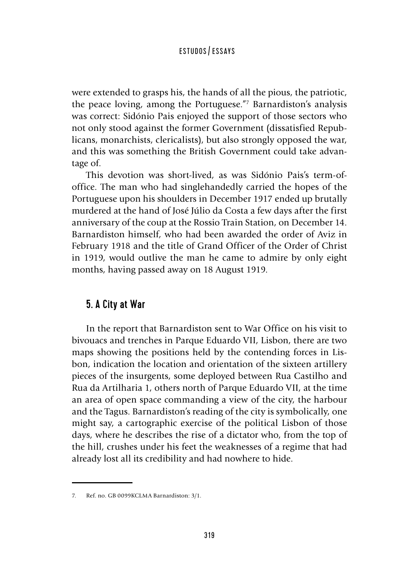were extended to grasps his, the hands of all the pious, the patriotic, the peace loving, among the Portuguese."7 Barnardiston's analysis was correct: Sidónio Pais enjoyed the support of those sectors who not only stood against the former Government (dissatisfied Republicans, monarchists, clericalists), but also strongly opposed the war, and this was something the British Government could take advantage of.

This devotion was short-lived, as was Sidónio Pais's term-ofoffice. The man who had singlehandedly carried the hopes of the Portuguese upon his shoulders in December 1917 ended up brutally murdered at the hand of José Júlio da Costa a few days after the first anniversary of the coup at the Rossio Train Station, on December 14. Barnardiston himself, who had been awarded the order of Aviz in February 1918 and the title of Grand Officer of the Order of Christ in 1919, would outlive the man he came to admire by only eight months, having passed away on 18 August 1919.

# 5. A City at War

In the report that Barnardiston sent to War Office on his visit to bivouacs and trenches in Parque Eduardo VII, Lisbon, there are two maps showing the positions held by the contending forces in Lisbon, indication the location and orientation of the sixteen artillery pieces of the insurgents, some deployed between Rua Castilho and Rua da Artilharia 1, others north of Parque Eduardo VII, at the time an area of open space commanding a view of the city, the harbour and the Tagus. Barnardiston's reading of the city is symbolically, one might say, a cartographic exercise of the political Lisbon of those days, where he describes the rise of a dictator who, from the top of the hill, crushes under his feet the weaknesses of a regime that had already lost all its credibility and had nowhere to hide.

<sup>7.</sup> Ref. no. GB 0099KCLMA Barnardiston: 3/1.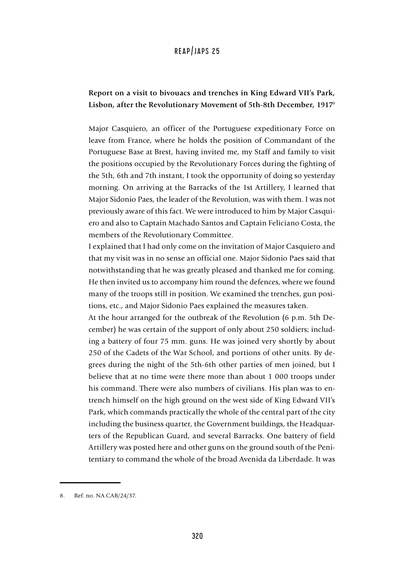#### **Report on a visit to bivouacs and trenches in King Edward VII's Park, Lisbon, after the Revolutionary Movement of 5th-8th December, 1917**<sup>8</sup>

Major Casquiero, an officer of the Portuguese expeditionary Force on leave from France, where he holds the position of Commandant of the Portuguese Base at Brest, having invited me, my Staff and family to visit the positions occupied by the Revolutionary Forces during the fighting of the 5th, 6th and 7th instant, I took the opportunity of doing so yesterday morning. On arriving at the Barracks of the 1st Artillery, I learned that Major Sidonio Paes, the leader of the Revolution, was with them. I was not previously aware of this fact. We were introduced to him by Major Casquiero and also to Captain Machado Santos and Captain Feliciano Costa, the members of the Revolutionary Committee.

I explained that I had only come on the invitation of Major Casquiero and that my visit was in no sense an official one. Major Sidonio Paes said that notwithstanding that he was greatly pleased and thanked me for coming. He then invited us to accompany him round the defences, where we found many of the troops still in position. We examined the trenches, gun positions, etc., and Major Sidonio Paes explained the measures taken.

At the hour arranged for the outbreak of the Revolution (6 p.m. 5th December) he was certain of the support of only about 250 soldiers; including a battery of four 75 mm. guns. He was joined very shortly by about 250 of the Cadets of the War School, and portions of other units. By degrees during the night of the 5th-6th other parties of men joined, but I believe that at no time were there more than about 1 000 troops under his command. There were also numbers of civilians. His plan was to entrench himself on the high ground on the west side of King Edward VII's Park, which commands practically the whole of the central part of the city including the business quarter, the Government buildings, the Headquarters of the Republican Guard, and several Barracks. One battery of field Artillery was posted here and other guns on the ground south of the Penitentiary to command the whole of the broad Avenida da Liberdade. It was

<sup>8.</sup> Ref. no. NA CAB/24/37.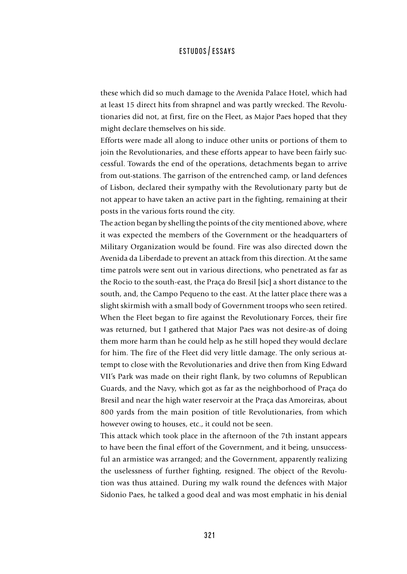these which did so much damage to the Avenida Palace Hotel, which had at least 15 direct hits from shrapnel and was partly wrecked. The Revolutionaries did not, at first, fire on the Fleet, as Major Paes hoped that they might declare themselves on his side.

Efforts were made all along to induce other units or portions of them to join the Revolutionaries, and these efforts appear to have been fairly successful. Towards the end of the operations, detachments began to arrive from out-stations. The garrison of the entrenched camp, or land defences of Lisbon, declared their sympathy with the Revolutionary party but de not appear to have taken an active part in the fighting, remaining at their posts in the various forts round the city.

The action began by shelling the points of the city mentioned above, where it was expected the members of the Government or the headquarters of Military Organization would be found. Fire was also directed down the Avenida da Liberdade to prevent an attack from this direction. At the same time patrols were sent out in various directions, who penetrated as far as the Rocio to the south-east, the Praça do Bresil [sic] a short distance to the south, and, the Campo Pequeno to the east. At the latter place there was a slight skirmish with a small body of Government troops who seen retired. When the Fleet began to fire against the Revolutionary Forces, their fire was returned, but I gathered that Major Paes was not desire-as of doing them more harm than he could help as he still hoped they would declare for him. The fire of the Fleet did very little damage. The only serious attempt to close with the Revolutionaries and drive then from King Edward VII's Park was made on their right flank, by two columns of Republican Guards, and the Navy, which got as far as the neighborhood of Praça do Bresil and near the high water reservoir at the Praça das Amoreiras, about 800 yards from the main position of title Revolutionaries, from which however owing to houses, etc., it could not be seen.

This attack which took place in the afternoon of the 7th instant appears to have been the final effort of the Government, and it being, unsuccessful an armistice was arranged; and the Government, apparently realizing the uselessness of further fighting, resigned. The object of the Revolution was thus attained. During my walk round the defences with Major Sidonio Paes, he talked a good deal and was most emphatic in his denial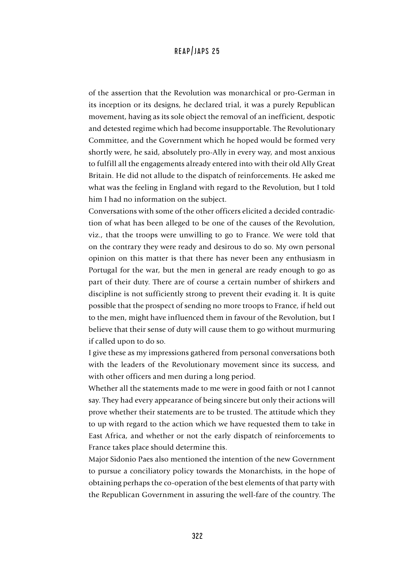of the assertion that the Revolution was monarchical or pro-German in its inception or its designs, he declared trial, it was a purely Republican movement, having as its sole object the removal of an inefficient, despotic and detested regime which had become insupportable. The Revolutionary Committee, and the Government which he hoped would be formed very shortly were, he said, absolutely pro-Ally in every way, and most anxious to fulfill all the engagements already entered into with their old Ally Great Britain. He did not allude to the dispatch of reinforcements. He asked me what was the feeling in England with regard to the Revolution, but I told him I had no information on the subject.

Conversations with some of the other officers elicited a decided contradiction of what has been alleged to be one of the causes of the Revolution, viz., that the troops were unwilling to go to France. We were told that on the contrary they were ready and desirous to do so. My own personal opinion on this matter is that there has never been any enthusiasm in Portugal for the war, but the men in general are ready enough to go as part of their duty. There are of course a certain number of shirkers and discipline is not sufficiently strong to prevent their evading it. It is quite possible that the prospect of sending no more troops to France, if held out to the men, might have influenced them in favour of the Revolution, but I believe that their sense of duty will cause them to go without murmuring if called upon to do so.

I give these as my impressions gathered from personal conversations both with the leaders of the Revolutionary movement since its success, and with other officers and men during a long period.

Whether all the statements made to me were in good faith or not I cannot say. They had every appearance of being sincere but only their actions will prove whether their statements are to be trusted. The attitude which they to up with regard to the action which we have requested them to take in East Africa, and whether or not the early dispatch of reinforcements to France takes place should determine this.

Major Sidonio Paes also mentioned the intention of the new Government to pursue a conciliatory policy towards the Monarchists, in the hope of obtaining perhaps the co-operation of the best elements of that party with the Republican Government in assuring the well-fare of the country. The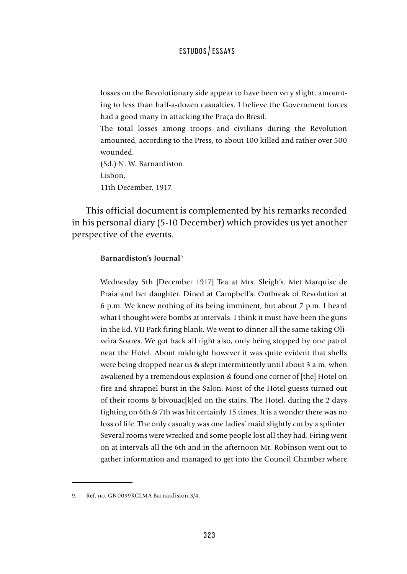losses on the Revolutionary side appear to have been very slight, amounting to less than half-a-dozen casualties. I believe the Government forces had a good many in attacking the Praça do Bresil.

The total losses among troops and civilians during the Revolution amounted, according to the Press, to about 100 killed and rather over 500 wounded.

(Sd.) N. W. Barnardiston. Lisbon, 11th December, 1917.

This official document is complemented by his remarks recorded in his personal diary (5-10 December) which provides us yet another perspective of the events.

#### **Barnardiston's Journal**<sup>9</sup>

Wednesday 5th [December 1917] Tea at Mrs. Sleigh's. Met Marquise de Praia and her daughter. Dined at Campbell's. Outbreak of Revolution at 6 p.m. We knew nothing of its being imminent, but about 7 p.m. I heard what I thought were bombs at intervals. I think it must have been the guns in the Ed. VII Park firing blank. We went to dinner all the same taking Oliveira Soares. We got back all right also, only being stopped by one patrol near the Hotel. About midnight however it was quite evident that shells were being dropped near us & slept intermittently until about 3 a.m. when awakened by a tremendous explosion & found one corner of [the] Hotel on fire and shrapnel burst in the Salon. Most of the Hotel guests turned out of their rooms & bivouac[k]ed on the stairs. The Hotel, during the 2 days fighting on 6th & 7th was hit certainly 15 times. It is a wonder there was no loss of life. The only casualty was one ladies' maid slightly cut by a splinter. Several rooms were wrecked and some people lost all they had. Firing went on at intervals all the 6th and in the afternoon Mr. Robinson went out to gather information and managed to get into the Council Chamber where

<sup>9.</sup> Ref. no. GB 0099KCLMA Barnardiston:3/4.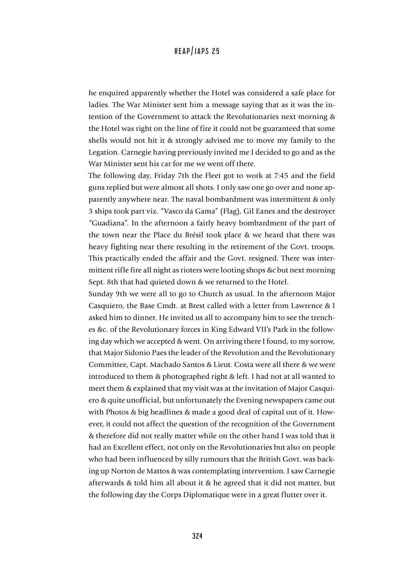he enquired apparently whether the Hotel was considered a safe place for ladies. The War Minister sent him a message saying that as it was the intention of the Government to attack the Revolutionaries next morning & the Hotel was right on the line of fire it could not be guaranteed that some shells would not hit it & strongly advised me to move my family to the Legation. Carnegie having previously invited me I decided to go and as the War Minister sent his car for me we went off there.

The following day, Friday 7th the Fleet got to work at 7:45 and the field guns replied but were almost all shots. I only saw one go over and none apparently anywhere near. The naval bombardment was intermittent & only 3 ships took part viz. "Vasco da Gama" (Flag), Gil Eanes and the destroyer "Guadiana". In the afternoon a fairly heavy bombardment of the part of the town near the Place du Brésil took place & we heard that there was heavy fighting near there resulting in the retirement of the Govt. troops. This practically ended the affair and the Govt. resigned. There was intermittent rifle fire all night as rioters were looting shops &c but next morning Sept. 8th that had quieted down & we returned to the Hotel.

Sunday 9th we were all to go to Church as usual. In the afternoon Major Casquiero, the Base Cmdt. at Brest called with a letter from Lawrence & I asked him to dinner. He invited us all to accompany him to see the trenches &c. of the Revolutionary forces in King Edward VII's Park in the following day which we accepted & went. On arriving there I found, to my sorrow, that Major Sidonio Paes the leader of the Revolution and the Revolutionary Committee, Capt. Machado Santos & Lieut. Costa were all there & we were introduced to them & photographed right & left. I had not at all wanted to meet them & explained that my visit was at the invitation of Major Casquiero & quite unofficial, but unfortunately the Evening newspapers came out with Photos & big headlines & made a good deal of capital out of it. However, it could not affect the question of the recognition of the Government & therefore did not really matter while on the other hand I was told that it had an Excellent effect, not only on the Revolutionaries but also on people who had been influenced by silly rumours that the British Govt. was backing up Norton de Mattos & was contemplating intervention. I saw Carnegie afterwards & told him all about it & he agreed that it did not matter, but the following day the Corps Diplomatique were in a great flutter over it.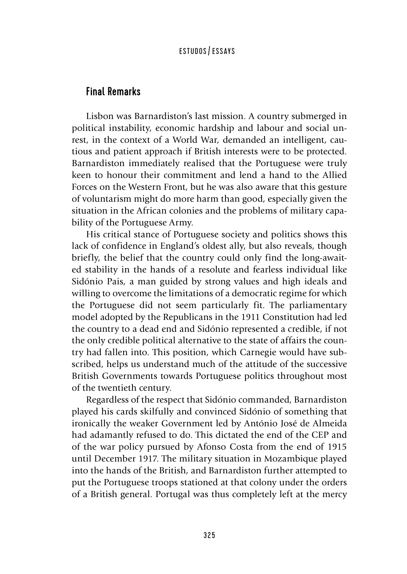## Final Remarks

Lisbon was Barnardiston's last mission. A country submerged in political instability, economic hardship and labour and social unrest, in the context of a World War, demanded an intelligent, cautious and patient approach if British interests were to be protected. Barnardiston immediately realised that the Portuguese were truly keen to honour their commitment and lend a hand to the Allied Forces on the Western Front, but he was also aware that this gesture of voluntarism might do more harm than good, especially given the situation in the African colonies and the problems of military capability of the Portuguese Army.

His critical stance of Portuguese society and politics shows this lack of confidence in England's oldest ally, but also reveals, though briefly, the belief that the country could only find the long-awaited stability in the hands of a resolute and fearless individual like Sidónio Pais, a man guided by strong values and high ideals and willing to overcome the limitations of a democratic regime for which the Portuguese did not seem particularly fit. The parliamentary model adopted by the Republicans in the 1911 Constitution had led the country to a dead end and Sidónio represented a credible, if not the only credible political alternative to the state of affairs the country had fallen into. This position, which Carnegie would have subscribed, helps us understand much of the attitude of the successive British Governments towards Portuguese politics throughout most of the twentieth century.

Regardless of the respect that Sidónio commanded, Barnardiston played his cards skilfully and convinced Sidónio of something that ironically the weaker Government led by António José de Almeida had adamantly refused to do. This dictated the end of the CEP and of the war policy pursued by Afonso Costa from the end of 1915 until December 1917. The military situation in Mozambique played into the hands of the British, and Barnardiston further attempted to put the Portuguese troops stationed at that colony under the orders of a British general. Portugal was thus completely left at the mercy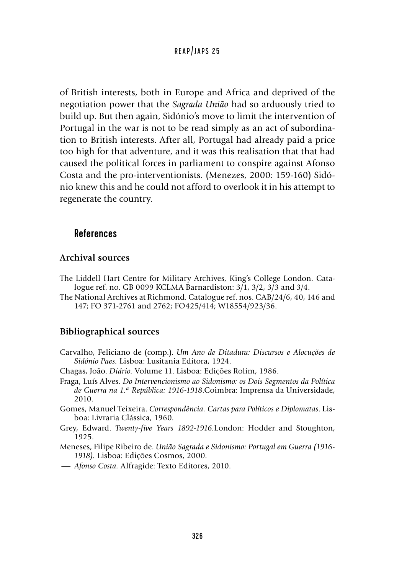of British interests, both in Europe and Africa and deprived of the negotiation power that the *Sagrada União* had so arduously tried to build up. But then again, Sidónio's move to limit the intervention of Portugal in the war is not to be read simply as an act of subordination to British interests. After all, Portugal had already paid a price too high for that adventure, and it was this realisation that that had caused the political forces in parliament to conspire against Afonso Costa and the pro-interventionists. (Menezes, 2000: 159-160) Sidónio knew this and he could not afford to overlook it in his attempt to regenerate the country.

# References

#### **Archival sources**

- The Liddell Hart Centre for Military Archives, King's College London. Catalogue ref. no. GB 0099 KCLMA Barnardiston: 3/1, 3/2, 3/3 and 3/4.
- The National Archives at Richmond. Catalogue ref. nos. CAB/24/6, 40, 146 and 147; FO 371-2761 and 2762; FO425/414; W18554/923/36.

#### **Bibliographical sources**

- Carvalho, Feliciano de (comp.). *Um Ano de Ditadura: Discursos e Alocuções de Sidónio Paes.* Lisboa: Lusitania Editora, 1924.
- Chagas, João. *Diário.* Volume 11. Lisboa: Edições Rolim, 1986.
- Fraga, Luís Alves. *Do Intervencionismo ao Sidonismo: os Dois Segmentos da Política de Guerra na 1.ª República: 1916-1918*.Coimbra: Imprensa da Universidade, 2010.
- Gomes, Manuel Teixeira. *Correspondência. Cartas para Políticos e Diplomatas*. Lisboa: Livraria Clássica, 1960.
- Grey, Edward. *Twenty-five Years 1892-1916.*London: Hodder and Stoughton, 1925.
- Meneses, Filipe Ribeiro de. *União Sagrada e Sidonismo: Portugal em Guerra (1916- 1918).* Lisboa: Edições Cosmos, 2000.
- **-***Afonso Costa.* Alfragide: Texto Editores, 2010.